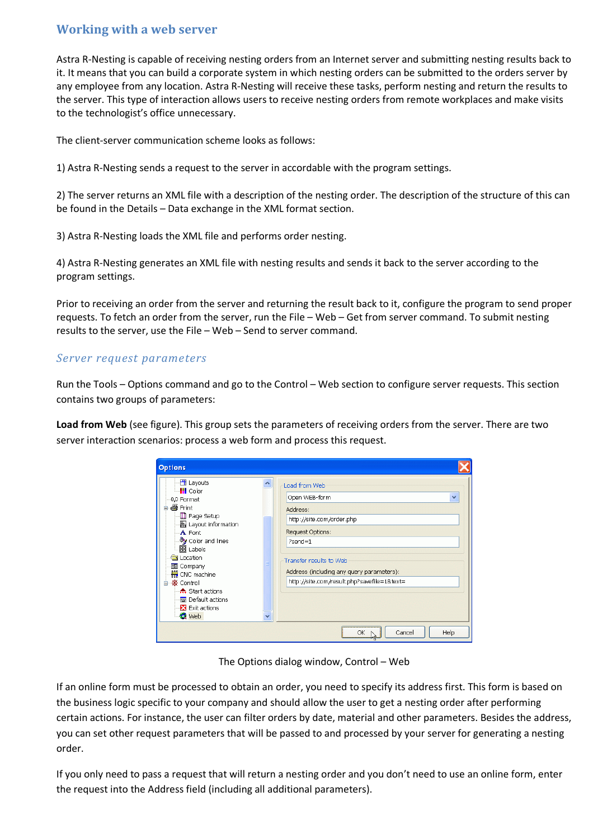## **Working with a web server**

Astra R-Nesting is capable of receiving nesting orders from an Internet server and submitting nesting results back to it. It means that you can build a corporate system in which nesting orders can be submitted to the orders server by any employee from any location. Astra R-Nesting will receive these tasks, perform nesting and return the results to the server. This type of interaction allows users to receive nesting orders from remote workplaces and make visits to the technologist's office unnecessary.

The client-server communication scheme looks as follows:

1) Astra R-Nesting sends a request to the server in accordable with the program settings.

2) The server returns an XML file with a description of the nesting order. The description of the structure of this can be found in the Details – Data exchange in the XML format section.

3) Astra R-Nesting loads the XML file and performs order nesting.

4) Astra R-Nesting generates an XML file with nesting results and sends it back to the server according to the program settings.

Prior to receiving an order from the server and returning the result back to it, configure the program to send proper requests. To fetch an order from the server, run the File – Web – Get from server command. To submit nesting results to the server, use the File – Web – Send to server command.

## *Server request parameters*

Run the Tools – Options command and go to the Control – Web section to configure server requests. This section contains two groups of parameters:

**Load from Web** (see figure). This group sets the parameters of receiving orders from the server. There are two server interaction scenarios: process a web form and process this request.

| <b>Options</b>                                                                                                                                                                                                                                                                                              |   |                                                                                                                                                                                                                                 |   |
|-------------------------------------------------------------------------------------------------------------------------------------------------------------------------------------------------------------------------------------------------------------------------------------------------------------|---|---------------------------------------------------------------------------------------------------------------------------------------------------------------------------------------------------------------------------------|---|
| H Layouts<br>— <mark>III</mark> Color<br>0,0 Format<br>⊟ ∰ Print<br>Page Setup<br>- Layout information<br>-A Font<br>∙ Color and lines<br>·囧 Labels<br><b>Ex</b> Location<br>国 Company<br>₩ CNC machine<br>· 密 Control<br>ė.<br>A Start actions<br><b>E</b> Default actions<br>Exit actions<br><b>O</b> Web | Ÿ | Load from Web<br>Open WEB-form<br>Address:<br>http://site.com/order.php<br>Request Options:<br>$?send=1$<br>Transfer results to Web<br>Address (including any query parameters):<br>http://site.com/result.php?savefile=1&text= | × |
|                                                                                                                                                                                                                                                                                                             |   | Cancel<br>Help<br>ОК                                                                                                                                                                                                            |   |

The Options dialog window, Control – Web

If an online form must be processed to obtain an order, you need to specify its address first. This form is based on the business logic specific to your company and should allow the user to get a nesting order after performing certain actions. For instance, the user can filter orders by date, material and other parameters. Besides the address, you can set other request parameters that will be passed to and processed by your server for generating a nesting order.

If you only need to pass a request that will return a nesting order and you don't need to use an online form, enter the request into the Address field (including all additional parameters).